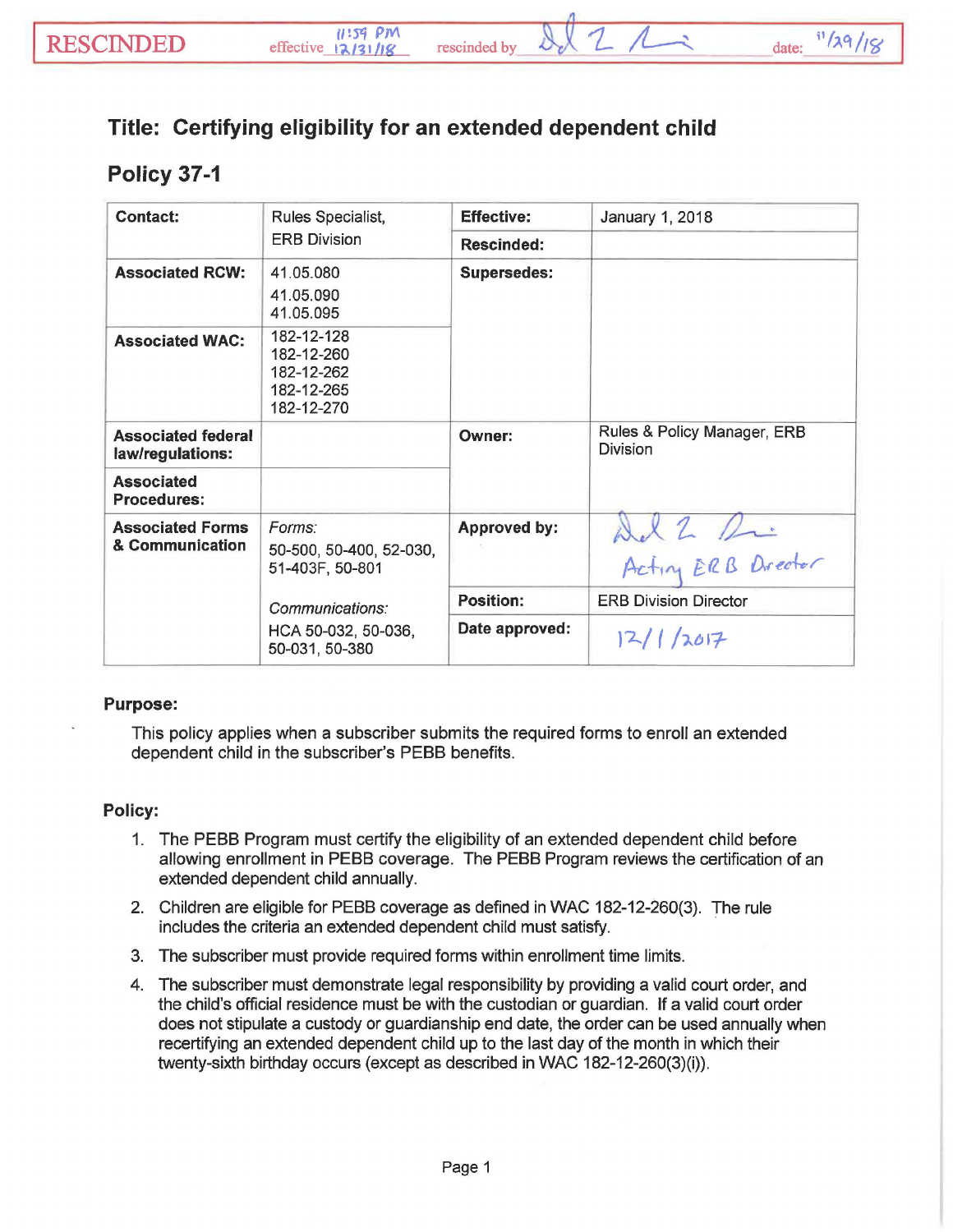## Title: Certifying eligibility for an extended dependent child

## Policy 37-1

| Contact:                                      | Rules Specialist,                                                  | <b>Effective:</b>   | January 1, 2018                                |
|-----------------------------------------------|--------------------------------------------------------------------|---------------------|------------------------------------------------|
|                                               | <b>ERB Division</b>                                                | <b>Rescinded:</b>   |                                                |
| <b>Associated RCW:</b>                        | 41.05.080<br>41.05.090<br>41.05.095                                | <b>Supersedes:</b>  |                                                |
| <b>Associated WAC:</b>                        | 182-12-128<br>182-12-260<br>182-12-262<br>182-12-265<br>182-12-270 |                     |                                                |
| <b>Associated federal</b><br>law/regulations: |                                                                    | Owner:              | Rules & Policy Manager, ERB<br><b>Division</b> |
| <b>Associated</b><br><b>Procedures:</b>       |                                                                    |                     |                                                |
| <b>Associated Forms</b><br>& Communication    | Forms:<br>50-500, 50-400, 52-030,<br>51-403F, 50-801               | <b>Approved by:</b> | Ad 2 Pri                                       |
|                                               | Communications:<br>HCA 50-032, 50-036,<br>50-031, 50-380           | <b>Position:</b>    | <b>ERB Division Director</b>                   |
|                                               |                                                                    | Date approved:      | 12/1/2017                                      |

## Purpose:

This policy applies when a subscriber submits the required forms to enroll an extended dependent child in the subscriber's PEBB benefits.

## Policy:

- 1. The PEBB Program must certify the eligibility of an extended dependent child before allowing enrollment in PEBB coverage. The PEBB Program reviews the certification of an extended dependent child annually.
- 2. Children are eligible for PEBB coverage as defined in WAC 182-12-260(3). The rule includes the criteria an extended dependent child must satisfy.
- 3. The subscriber must provide required forms within enrollment time limits.
- 4. The subscriber must demonstrate legal responsibility by providing a valid court order, and the child's official residence must be with the custodian or guardian. If a valid court order does not stipulate a custody or guardianship end date, the order can be used annually when recertifying an extended dependent child up to the last day of the month in which their twenty-sixth birthday occurs (except as described in WAC 182-12-260(3)(i)).